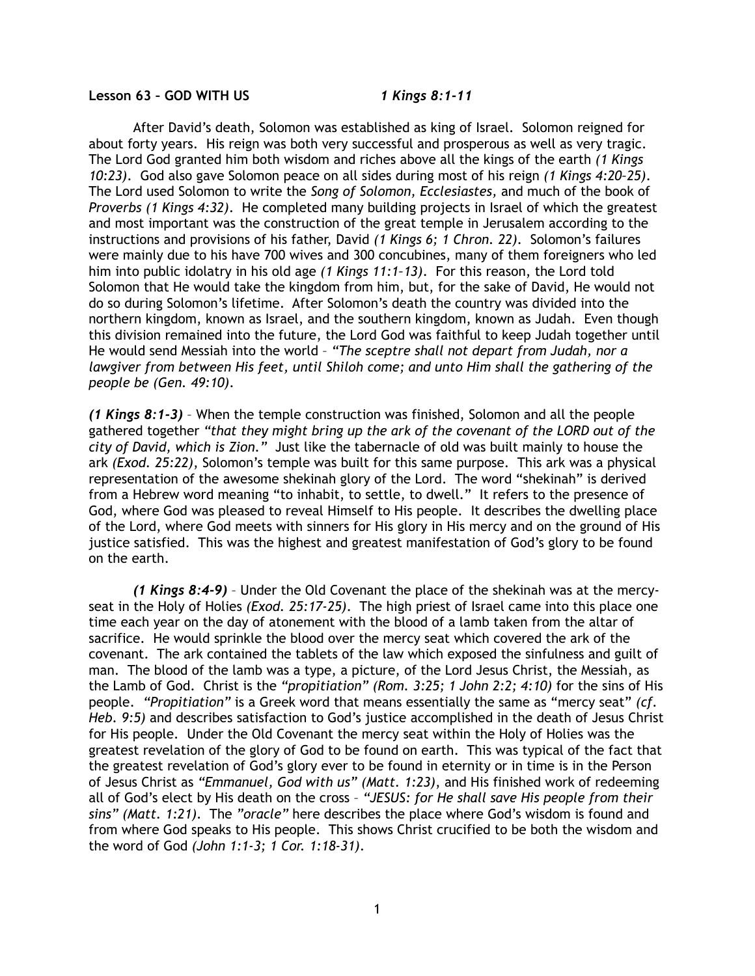## **Lesson 63 – GOD WITH US** *1 Kings 8:1-11*

 After David's death, Solomon was established as king of Israel. Solomon reigned for about forty years. His reign was both very successful and prosperous as well as very tragic. The Lord God granted him both wisdom and riches above all the kings of the earth *(1 Kings 10:23)*. God also gave Solomon peace on all sides during most of his reign *(1 Kings 4:20–25)*. The Lord used Solomon to write the *Song of Solomon, Ecclesiastes,* and much of the book of *Proverbs (1 Kings 4:32)*. He completed many building projects in Israel of which the greatest and most important was the construction of the great temple in Jerusalem according to the instructions and provisions of his father, David *(1 Kings 6; 1 Chron. 22)*. Solomon's failures were mainly due to his have 700 wives and 300 concubines, many of them foreigners who led him into public idolatry in his old age *(1 Kings 11:1–13)*. For this reason, the Lord told Solomon that He would take the kingdom from him, but, for the sake of David, He would not do so during Solomon's lifetime. After Solomon's death the country was divided into the northern kingdom, known as Israel, and the southern kingdom, known as Judah. Even though this division remained into the future, the Lord God was faithful to keep Judah together until He would send Messiah into the world – *"The sceptre shall not depart from Judah, nor a lawgiver from between His feet, until Shiloh come; and unto Him shall the gathering of the people be (Gen. 49:10)*.

*(1 Kings 8:1-3)* – When the temple construction was finished, Solomon and all the people gathered together *"that they might bring up the ark of the covenant of the LORD out of the city of David, which is Zion."* Just like the tabernacle of old was built mainly to house the ark *(Exod. 25:22)*, Solomon's temple was built for this same purpose. This ark was a physical representation of the awesome shekinah glory of the Lord. The word "shekinah" is derived from a Hebrew word meaning "to inhabit, to settle, to dwell." It refers to the presence of God, where God was pleased to reveal Himself to His people. It describes the dwelling place of the Lord, where God meets with sinners for His glory in His mercy and on the ground of His justice satisfied. This was the highest and greatest manifestation of God's glory to be found on the earth.

*(1 Kings 8:4-9)* – Under the Old Covenant the place of the shekinah was at the mercyseat in the Holy of Holies *(Exod. 25:17-25)*. The high priest of Israel came into this place one time each year on the day of atonement with the blood of a lamb taken from the altar of sacrifice. He would sprinkle the blood over the mercy seat which covered the ark of the covenant. The ark contained the tablets of the law which exposed the sinfulness and guilt of man. The blood of the lamb was a type, a picture, of the Lord Jesus Christ, the Messiah, as the Lamb of God. Christ is the *"propitiation" (Rom. 3:25; 1 John 2:2; 4:10)* for the sins of His people. *"Propitiation"* is a Greek word that means essentially the same as "mercy seat" *(cf. Heb. 9:5)* and describes satisfaction to God's justice accomplished in the death of Jesus Christ for His people. Under the Old Covenant the mercy seat within the Holy of Holies was the greatest revelation of the glory of God to be found on earth. This was typical of the fact that the greatest revelation of God's glory ever to be found in eternity or in time is in the Person of Jesus Christ as *"Emmanuel, God with us" (Matt. 1:23)*, and His finished work of redeeming all of God's elect by His death on the cross – *"JESUS: for He shall save His people from their sins" (Matt. 1:21)*. The *"oracle"* here describes the place where God's wisdom is found and from where God speaks to His people. This shows Christ crucified to be both the wisdom and the word of God *(John 1:1-3; 1 Cor. 1:18-31)*.